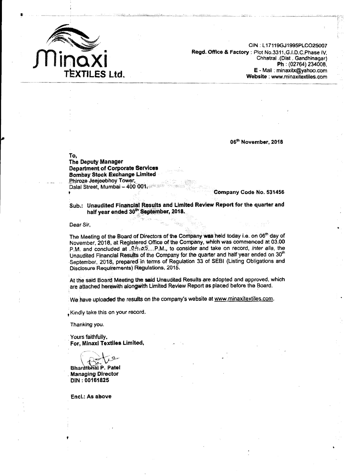

**CIN .1171?9GJI995PLC025007 Regd. Office** & **Factory** : **Plot No,3311 ,G.I.D.C.Phase I\/, Chhatral .(Dist** . **Gandhinagar) Ph** : (02764) 234008, **E** - **Mail** . **minaxitx@yahoo.com Website** : **www.rninaxitextiles.cbm** 

**06'~ November, 2018** 

**To,** 

**The Deputy Manager Department of Corporate Sewices Bombay Stock Exchange Limited Phiroze Jeejeebhoy Tower, Dalal Street, Mumbai** - **<sup>400</sup>ffC11. t Company Code No, 531456** 

**Sub.: Unaudited Financial Resutts and Limited Review Report for the quarter and half year ended 30<sup>th</sup> September, 2018.** 

**Dear Sir,** 

The Meeting of the Board of Directors of the Company was held today i.e. on 06<sup>th</sup> day of **Novern ber, 20 18, a% Registered Office of** the **Company, which was commenced at 03.00 P.M. and concluded at**  $.04.25$ ...P.M., to consider and take on record, *inter alia*, the Unaudited Financial Results of the Company for the quarter and half year ended on 30<sup>th</sup> **September, 2018, prepared in terms of Regulation 33 of SEBl (Listing Obligations and Disclosure Requirements) Regulations, 2015.** 

At the said Board Meeting the said Unaudited Results are adopted and approved, which are attached herewith alongwith Limited Review Report as placed before the Board.

We have uploaded the results on the company's website at www.minaxitextiles.com.

**,Kindly take this on your record.** 

**Thanking you.** 

**Yours faithfully. For, Minaxi Textifes Limited,** 

Bharatbhai P. Patel **Managing Director DfN** : **001 61825** 

**Encl.: As alsove**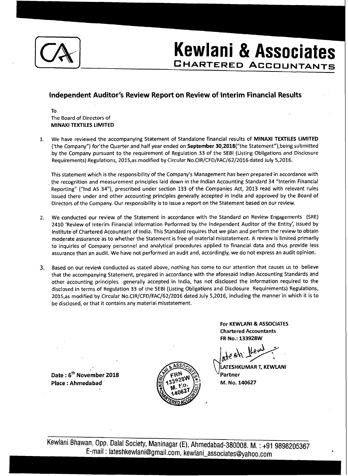

- Dil **Kewlani** & **Associates Kewlani & Associates** 

## **lndependent Auditor's Review Report on Review of lnterim Financial Results**

To The Board of Directors of MINAXI TEXTILES LIMITED

1. We have reviewed the accompanying Statement of Standalone financial results of MlNAXl TEXTILES LIMITED ('the Company") for the Quarter and half year ended on September 30,2018("the Statement"), being submitted by the Company pursuant to the requirement of Regulation 33 of the SEBl (Listing Obligations and Disclosure Requirements) Regulations, 2015,as modified by Circular No.CIR/CFD/FAC/62/2016 dated July 5,2016.

This statement which is the responsibility of the Company's Management has been prepared in accordance with the recognition and measurement principles laid down in the Indian Accounting Standard 34 "Interim Financial Reporting" ("lnd AS 34")) prescribed under section 133 of the Companies Act, 2013 read with relevant rules issued there under and other accounting principles generally accepted in India and approved by the Board of Directors of the Company. Our responsibility is to issue a report on the Statement based on our review.

- 2. We conducted our review of the Statement in accordance with the Standard on Review Engagements (SRE) 2410 'Review of Interim Financial Information Performed by the lndependent Auditor of the Entity', issued by Institute of Chartered Accountant of India. This Standard requires that we plan and perform the review to obtain moderate assurance as to whether the Statement is free of material misstatement. A review is limited primarily to inquiries of Company personnel and analytical procedures applied to financial data and thus provide less assurance than an audit. We have not performed an audit and, accordingly, we do not express an audit opinion.
- 3. Based on our review conducted as stated above, nothing has come to our attention that causes us to believe that the accompanying Statement, prepared in accordance with the aforesaid Indian Accounting Standards and other accounting principles generally accepted in India, has not disclosed the information required to the disclosed in terms of Regulation 33 of the SEBl (Listing Obligations and Disclosure Requirements) Regulations, 2015,as modified by Circular No.CIR/CFD/FAC/62/2016 dated July 5,2016, including the manner in which it is to be disclosed, or that it contains any material misstatement.

**For KEWLANI & ASSOCIATES** Chartered Accountants FR No.: 133928W

LATESHKUMAR T, KEWLANI Partner M. No. 140627

**Date** : **6th November 2018 Place** : **Ahmedabad**